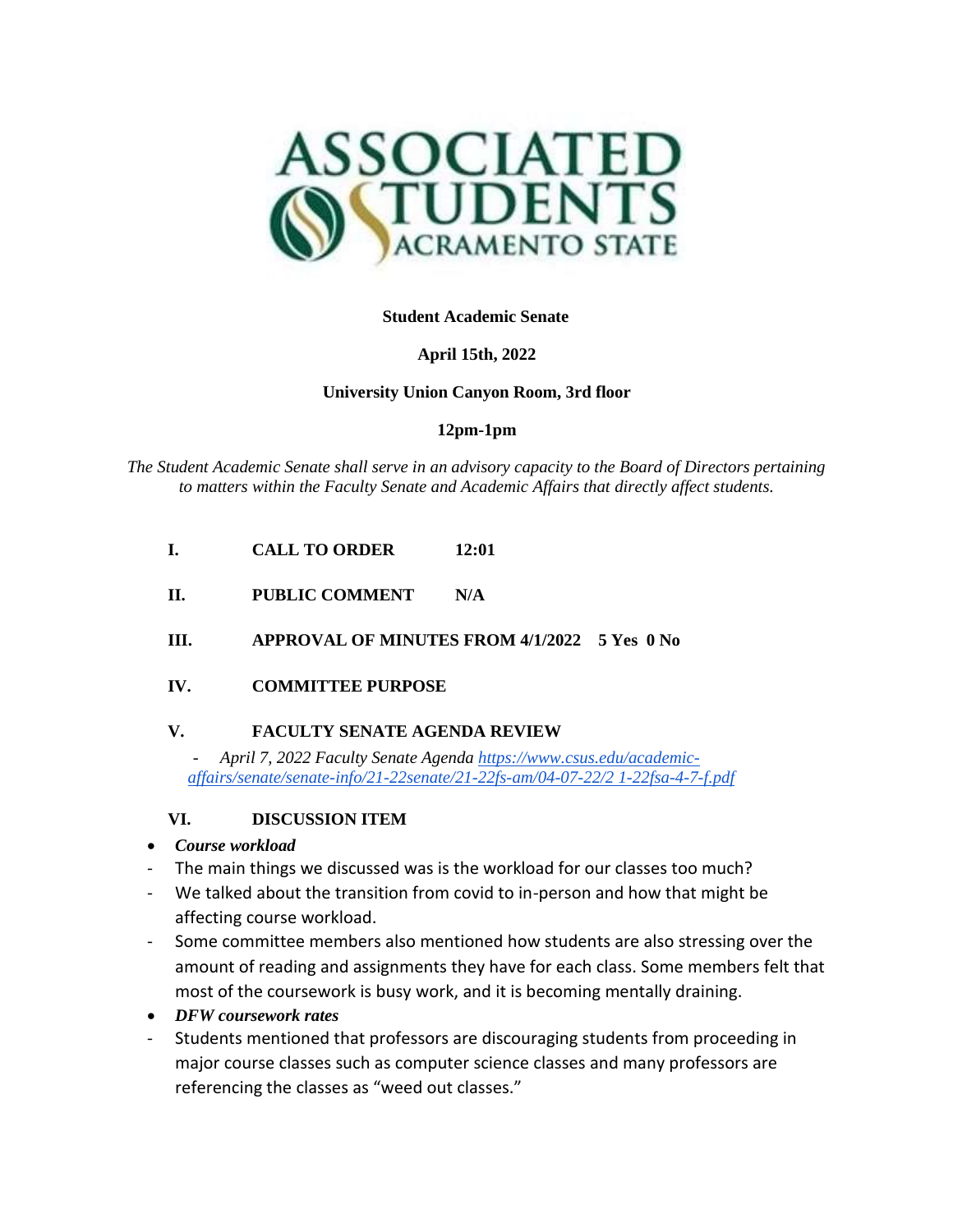

**Student Academic Senate**

## **April 15th, 2022**

## **University Union Canyon Room, 3rd floor**

## **12pm-1pm**

*The Student Academic Senate shall serve in an advisory capacity to the Board of Directors pertaining to matters within the Faculty Senate and Academic Affairs that directly affect students.*

- **I. CALL TO ORDER 12:01**
- **II. PUBLIC COMMENT N/A**
- **III. APPROVAL OF MINUTES FROM 4/1/2022 5 Yes 0 No**

# **IV. COMMITTEE PURPOSE**

# **V. FACULTY SENATE AGENDA REVIEW**

*- April 7, 2022 Faculty Senate Agenda [https://www.csus.edu/academic](https://www.csus.edu/academic-affairs/senate/senate-info/21-22senate/21-22fs-am/04-07-22/21-22fsa-4-7-f.pdf)[affairs/senate/senate-info/21-22senate/21-22fs-am/04-07-22/2 1-22fsa-4-7-f.pdf](https://www.csus.edu/academic-affairs/senate/senate-info/21-22senate/21-22fs-am/04-07-22/21-22fsa-4-7-f.pdf)*

# **VI. DISCUSSION ITEM**

- *Course workload*
- The main things we discussed was is the workload for our classes too much?
- We talked about the transition from covid to in-person and how that might be affecting course workload.
- Some committee members also mentioned how students are also stressing over the amount of reading and assignments they have for each class. Some members felt that most of the coursework is busy work, and it is becoming mentally draining.
- *DFW coursework rates*
- Students mentioned that professors are discouraging students from proceeding in major course classes such as computer science classes and many professors are referencing the classes as "weed out classes."